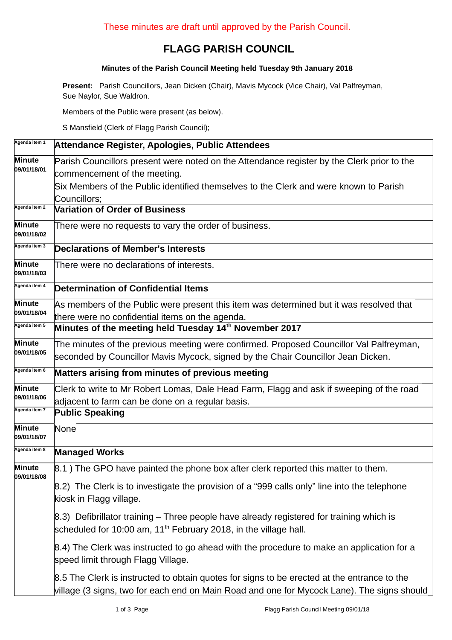## **FLAGG PARISH COUNCIL**

## **Minutes of the Parish Council Meeting held Tuesday 9th January 2018**

**Present:** Parish Councillors, Jean Dicken (Chair), Mavis Mycock (Vice Chair), Val Palfreyman, Sue Naylor, Sue Waldron.

Members of the Public were present (as below).

S Mansfield (Clerk of Flagg Parish Council);

| Agenda item 1                | Attendance Register, Apologies, Public Attendees                                                                                                                                          |  |  |  |  |
|------------------------------|-------------------------------------------------------------------------------------------------------------------------------------------------------------------------------------------|--|--|--|--|
| Minute<br>09/01/18/01        | Parish Councillors present were noted on the Attendance register by the Clerk prior to the<br>commencement of the meeting.                                                                |  |  |  |  |
|                              | Six Members of the Public identified themselves to the Clerk and were known to Parish<br>Councillors;                                                                                     |  |  |  |  |
| Agenda item 2                | <b>Variation of Order of Business</b>                                                                                                                                                     |  |  |  |  |
| Minute<br>09/01/18/02        | There were no requests to vary the order of business.                                                                                                                                     |  |  |  |  |
| Agenda item 3                | <b>Declarations of Member's Interests</b>                                                                                                                                                 |  |  |  |  |
| <b>Minute</b><br>09/01/18/03 | There were no declarations of interests.                                                                                                                                                  |  |  |  |  |
| Agenda item 4                | <b>Determination of Confidential Items</b>                                                                                                                                                |  |  |  |  |
| <b>Minute</b><br>09/01/18/04 | As members of the Public were present this item was determined but it was resolved that<br>there were no confidential items on the agenda.                                                |  |  |  |  |
| Agenda item 5                | Minutes of the meeting held Tuesday 14 <sup>th</sup> November 2017                                                                                                                        |  |  |  |  |
| Minute<br>09/01/18/05        | The minutes of the previous meeting were confirmed. Proposed Councillor Val Palfreyman,<br>seconded by Councillor Mavis Mycock, signed by the Chair Councillor Jean Dicken.               |  |  |  |  |
| Agenda item 6                | Matters arising from minutes of previous meeting                                                                                                                                          |  |  |  |  |
| <b>Minute</b><br>09/01/18/06 | Clerk to write to Mr Robert Lomas, Dale Head Farm, Flagg and ask if sweeping of the road<br>adjacent to farm can be done on a regular basis.                                              |  |  |  |  |
| Agenda item 7                | <b>Public Speaking</b>                                                                                                                                                                    |  |  |  |  |
| Minute<br>09/01/18/07        | None                                                                                                                                                                                      |  |  |  |  |
| Agenda item 8                | <b>Managed Works</b>                                                                                                                                                                      |  |  |  |  |
| Minute<br>09/01/18/08        | 8.1) The GPO have painted the phone box after clerk reported this matter to them.                                                                                                         |  |  |  |  |
|                              | 8.2) The Clerk is to investigate the provision of a "999 calls only" line into the telephone<br>kiosk in Flagg village.                                                                   |  |  |  |  |
|                              | 8.3) Defibrillator training – Three people have already registered for training which is<br>scheduled for 10:00 am, $11th$ February 2018, in the village hall.                            |  |  |  |  |
|                              | 8.4) The Clerk was instructed to go ahead with the procedure to make an application for a<br>speed limit through Flagg Village.                                                           |  |  |  |  |
|                              | 8.5 The Clerk is instructed to obtain quotes for signs to be erected at the entrance to the<br>village (3 signs, two for each end on Main Road and one for Mycock Lane). The signs should |  |  |  |  |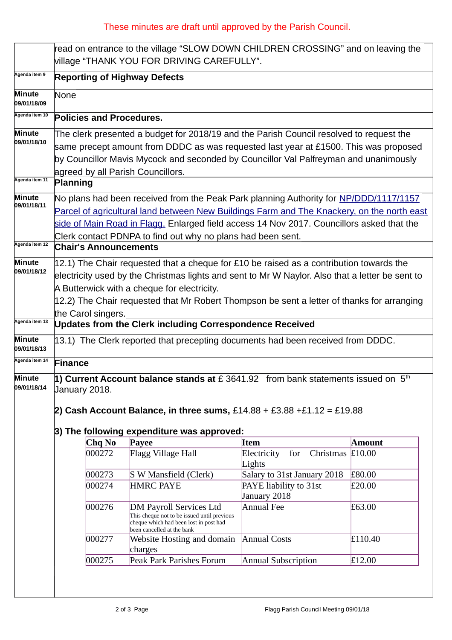## These minutes are draft until approved by the Parish Council.

|                                                                                                                                                                                                                                                            |                                                                                                                                                                                                                                                                                                                                                               |                                                                 | read on entrance to the village "SLOW DOWN CHILDREN CROSSING" and on leaving the<br>village "THANK YOU FOR DRIVING CAREFULLY".                 |                                           |               |  |
|------------------------------------------------------------------------------------------------------------------------------------------------------------------------------------------------------------------------------------------------------------|---------------------------------------------------------------------------------------------------------------------------------------------------------------------------------------------------------------------------------------------------------------------------------------------------------------------------------------------------------------|-----------------------------------------------------------------|------------------------------------------------------------------------------------------------------------------------------------------------|-------------------------------------------|---------------|--|
| Agenda item 9                                                                                                                                                                                                                                              | <b>Reporting of Highway Defects</b>                                                                                                                                                                                                                                                                                                                           |                                                                 |                                                                                                                                                |                                           |               |  |
| Minute<br>09/01/18/09                                                                                                                                                                                                                                      | None                                                                                                                                                                                                                                                                                                                                                          |                                                                 |                                                                                                                                                |                                           |               |  |
| Agenda item 10                                                                                                                                                                                                                                             | <b>Policies and Procedures.</b>                                                                                                                                                                                                                                                                                                                               |                                                                 |                                                                                                                                                |                                           |               |  |
| Minute<br>09/01/18/10                                                                                                                                                                                                                                      | The clerk presented a budget for 2018/19 and the Parish Council resolved to request the<br>same precept amount from DDDC as was requested last year at £1500. This was proposed<br>by Councillor Mavis Mycock and seconded by Councillor Val Palfreyman and unanimously<br>agreed by all Parish Councillors.                                                  |                                                                 |                                                                                                                                                |                                           |               |  |
| Agenda item 11                                                                                                                                                                                                                                             | Planning                                                                                                                                                                                                                                                                                                                                                      |                                                                 |                                                                                                                                                |                                           |               |  |
| Minute<br>09/01/18/11                                                                                                                                                                                                                                      | No plans had been received from the Peak Park planning Authority for NP/DDD/1117/1157<br>Parcel of agricultural land between New Buildings Farm and The Knackery, on the north east<br>side of Main Road in Flagg. Enlarged field access 14 Nov 2017. Councillors asked that the<br>Clerk contact PDNPA to find out why no plans had been sent.               |                                                                 |                                                                                                                                                |                                           |               |  |
| Agenda item 12                                                                                                                                                                                                                                             |                                                                                                                                                                                                                                                                                                                                                               | <b>Chair's Announcements</b>                                    |                                                                                                                                                |                                           |               |  |
| Minute<br>09/01/18/12                                                                                                                                                                                                                                      | 12.1) The Chair requested that a cheque for £10 be raised as a contribution towards the<br>electricity used by the Christmas lights and sent to Mr W Naylor. Also that a letter be sent to<br>A Butterwick with a cheque for electricity.<br>12.2) The Chair requested that Mr Robert Thompson be sent a letter of thanks for arranging<br>the Carol singers. |                                                                 |                                                                                                                                                |                                           |               |  |
| Agenda item 13                                                                                                                                                                                                                                             |                                                                                                                                                                                                                                                                                                                                                               | <b>Updates from the Clerk including Correspondence Received</b> |                                                                                                                                                |                                           |               |  |
| Minute<br>09/01/18/13                                                                                                                                                                                                                                      | 13.1) The Clerk reported that precepting documents had been received from DDDC.                                                                                                                                                                                                                                                                               |                                                                 |                                                                                                                                                |                                           |               |  |
| Agenda item 14                                                                                                                                                                                                                                             | Finance                                                                                                                                                                                                                                                                                                                                                       |                                                                 |                                                                                                                                                |                                           |               |  |
| 1) Current Account balance stands at $E$ 3641.92 from bank statements issued on $5th$<br>Minute<br>09/01/18/14<br>January 2018.<br>2) Cash Account Balance, in three sums, $£14.88 + £3.88 + £1.12 = £19.88$<br>3) The following expenditure was approved: |                                                                                                                                                                                                                                                                                                                                                               |                                                                 |                                                                                                                                                |                                           |               |  |
|                                                                                                                                                                                                                                                            |                                                                                                                                                                                                                                                                                                                                                               | Chq No                                                          | Payee                                                                                                                                          | <b>Item</b>                               | <b>Amount</b> |  |
|                                                                                                                                                                                                                                                            |                                                                                                                                                                                                                                                                                                                                                               | 000272                                                          | Flagg Village Hall                                                                                                                             | for<br>Christmas<br>Electricity<br>Lights | £10.00        |  |
|                                                                                                                                                                                                                                                            |                                                                                                                                                                                                                                                                                                                                                               | 000273                                                          | S W Mansfield (Clerk)                                                                                                                          | Salary to 31st January 2018               | £80.00        |  |
|                                                                                                                                                                                                                                                            |                                                                                                                                                                                                                                                                                                                                                               | 000274                                                          | <b>HMRC PAYE</b>                                                                                                                               | PAYE liability to 31st<br>January 2018    | £20.00        |  |
|                                                                                                                                                                                                                                                            |                                                                                                                                                                                                                                                                                                                                                               | 000276                                                          | DM Payroll Services Ltd<br>This cheque not to be issued until previous<br>cheque which had been lost in post had<br>been cancelled at the bank | <b>Annual Fee</b>                         | £63.00        |  |
|                                                                                                                                                                                                                                                            |                                                                                                                                                                                                                                                                                                                                                               | 000277                                                          | <b>Website Hosting and domain</b><br>charges                                                                                                   | <b>Annual Costs</b>                       | £110.40       |  |
|                                                                                                                                                                                                                                                            |                                                                                                                                                                                                                                                                                                                                                               | 000275                                                          | Peak Park Parishes Forum                                                                                                                       | <b>Annual Subscription</b>                | £12.00        |  |
|                                                                                                                                                                                                                                                            |                                                                                                                                                                                                                                                                                                                                                               |                                                                 |                                                                                                                                                |                                           |               |  |